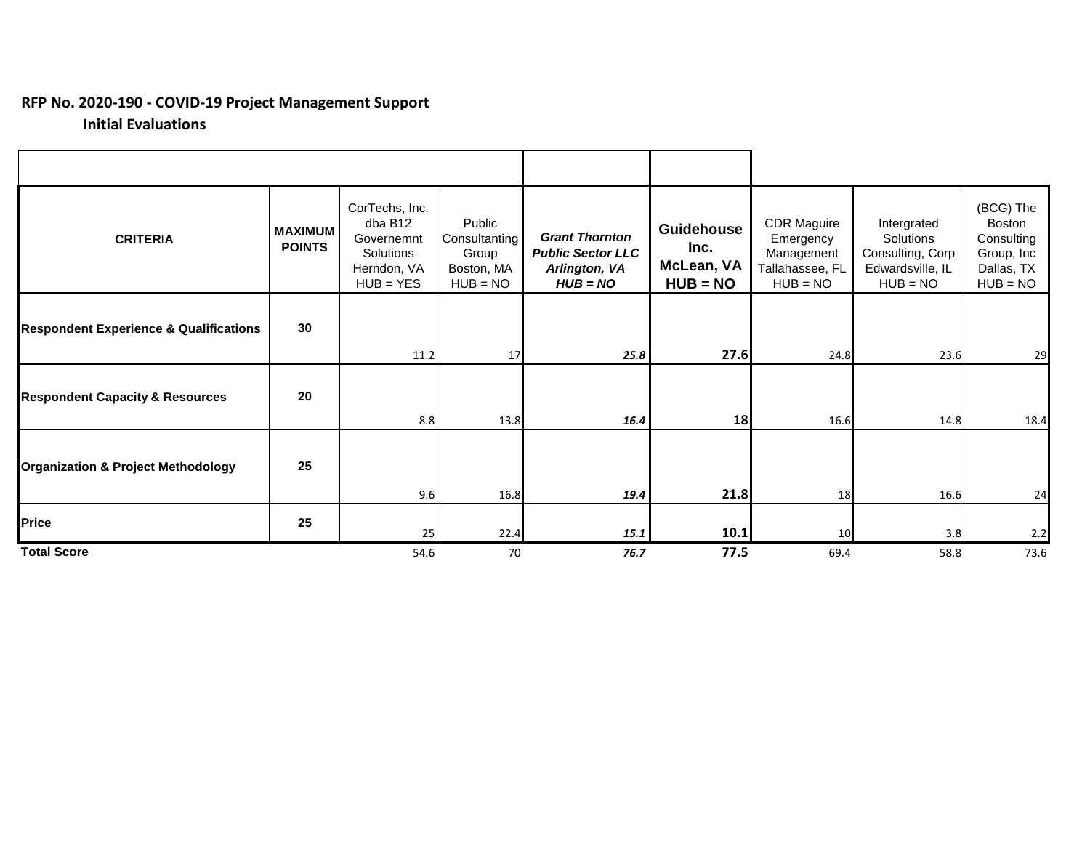## **RFP No. 2020-190 - COVID-19 Project Management Support**

## **Initial Evaluations**

| <b>CRITERIA</b>                                   | <b>MAXIMUM</b><br><b>POINTS</b> | CorTechs, Inc.<br>dba B12<br>Governemnt<br>Solutions<br>Herndon, VA<br>$HUB = YES$ | Public<br>Consultanting<br>Group<br>Boston, MA<br>$HUB = NO$ | <b>Grant Thornton</b><br><b>Public Sector LLC</b><br>Arlington, VA<br>$HUB = NO$ | <b>Guidehouse</b><br>Inc.<br>McLean, VA<br>$HUB = NO$ | <b>CDR Maguire</b><br>Emergency<br>Management<br>Tallahassee, FL<br>$HUB = NO$ | Intergrated<br>Solutions<br>Consulting, Corp<br>Edwardsville, IL<br>$HUB = NO$ | (BCG) The<br><b>Boston</b><br>Consulting<br>Group, Inc<br>Dallas, TX<br>$HUB = NO$ |
|---------------------------------------------------|---------------------------------|------------------------------------------------------------------------------------|--------------------------------------------------------------|----------------------------------------------------------------------------------|-------------------------------------------------------|--------------------------------------------------------------------------------|--------------------------------------------------------------------------------|------------------------------------------------------------------------------------|
| <b>Respondent Experience &amp; Qualifications</b> | 30                              | 11.2                                                                               | 17                                                           | 25.8                                                                             | 27.6                                                  | 24.8                                                                           | 23.6                                                                           | 29                                                                                 |
| <b>Respondent Capacity &amp; Resources</b>        | 20                              | 8.8                                                                                | 13.8                                                         | 16.4                                                                             | 18                                                    | 16.6                                                                           | 14.8                                                                           | 18.4                                                                               |
| <b>Organization &amp; Project Methodology</b>     | 25                              | 9.6                                                                                | 16.8                                                         | 19.4                                                                             | 21.8                                                  | 18                                                                             | 16.6                                                                           | 24                                                                                 |
| Price                                             | 25                              | 25                                                                                 | 22.4                                                         | 15.1                                                                             | 10.1                                                  | 10                                                                             | 3.8                                                                            | 2.2                                                                                |
| <b>Total Score</b>                                |                                 | 54.6                                                                               | 70                                                           | 76.7                                                                             | 77.5                                                  | 69.4                                                                           | 58.8                                                                           | 73.6                                                                               |